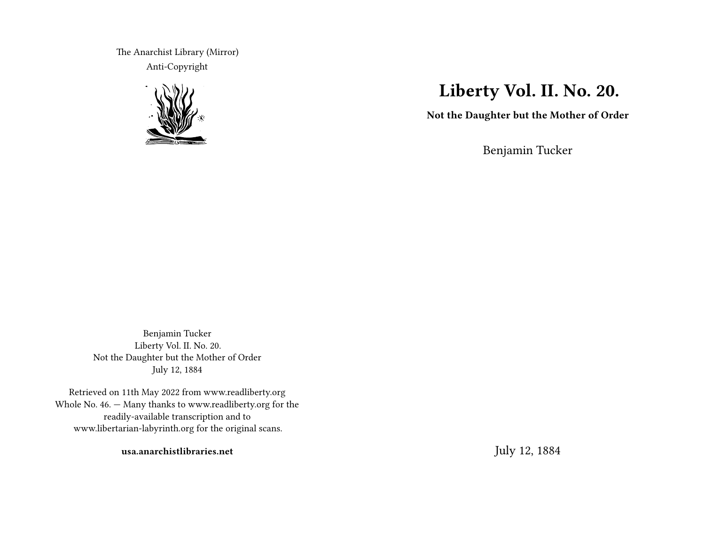The Anarchist Library (Mirror) Anti-Copyright



## **Liberty Vol. II. No. 20.**

**Not the Daughter but the Mother of Order**

Benjamin Tucker

Benjamin Tucker Liberty Vol. II. No. 20. Not the Daughter but the Mother of Order July 12, 1884

Retrieved on 11th May 2022 from www.readliberty.org Whole No. 46. — Many thanks to www.readliberty.org for the readily-available transcription and to www.libertarian-labyrinth.org for the original scans.

**usa.anarchistlibraries.net**

July 12, 1884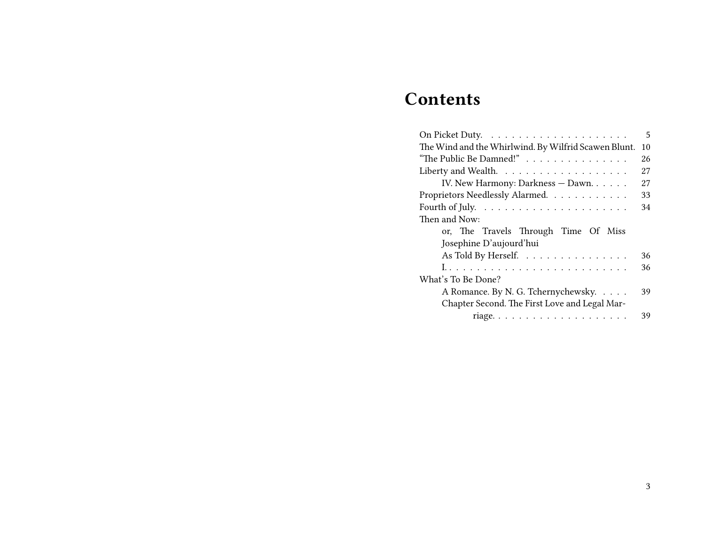# **Contents**

|                                                                   | 5  |
|-------------------------------------------------------------------|----|
| The Wind and the Whirlwind. By Wilfrid Scawen Blunt.              | 10 |
| "The Public Be Damned!"                                           | 26 |
| Liberty and Wealth. $\dots \dots \dots \dots \dots \dots$         | 27 |
| IV. New Harmony: Darkness - Dawn.                                 | 27 |
| Proprietors Needlessly Alarmed.                                   | 33 |
| Fourth of July. $\dots \dots \dots \dots \dots \dots \dots \dots$ | 34 |
| Then and Now:                                                     |    |
| or, The Travels Through Time Of Miss                              |    |
| Josephine D'aujourd'hui                                           |    |
| As Told By Herself.                                               | 36 |
|                                                                   | 36 |
| What's To Be Done?                                                |    |
| A Romance. By N. G. Tchernychewsky.                               | 39 |
| Chapter Second. The First Love and Legal Mar-                     |    |
|                                                                   | 39 |
|                                                                   |    |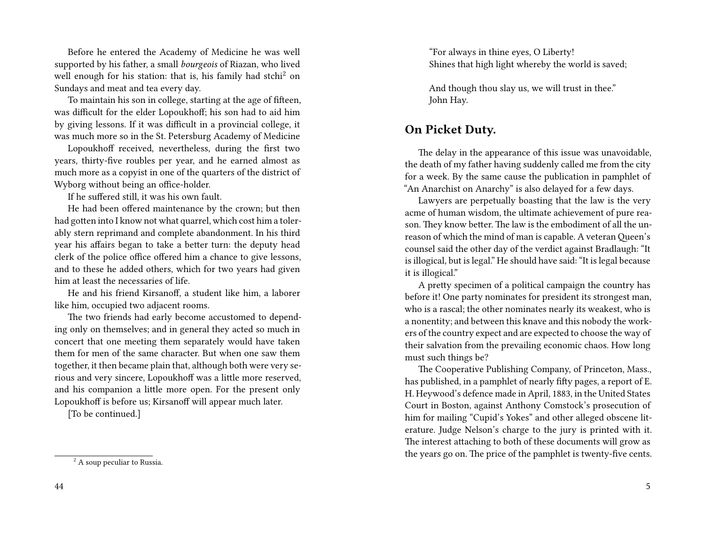Before he entered the Academy of Medicine he was well supported by his father, a small *bourgeois* of Riazan, who lived well enough for his station: that is, his family had stchi<sup>2</sup> on Sundays and meat and tea every day.

To maintain his son in college, starting at the age of fifteen, was difficult for the elder Lopoukhoff; his son had to aid him by giving lessons. If it was difficult in a provincial college, it was much more so in the St. Petersburg Academy of Medicine

Lopoukhoff received, nevertheless, during the first two years, thirty-five roubles per year, and he earned almost as much more as a copyist in one of the quarters of the district of Wyborg without being an office-holder.

If he suffered still, it was his own fault.

He had been offered maintenance by the crown; but then had gotten into I know not what quarrel, which cost him a tolerably stern reprimand and complete abandonment. In his third year his affairs began to take a better turn: the deputy head clerk of the police office offered him a chance to give lessons, and to these he added others, which for two years had given him at least the necessaries of life.

He and his friend Kirsanoff, a student like him, a laborer like him, occupied two adjacent rooms.

The two friends had early become accustomed to depending only on themselves; and in general they acted so much in concert that one meeting them separately would have taken them for men of the same character. But when one saw them together, it then became plain that, although both were very serious and very sincere, Lopoukhoff was a little more reserved, and his companion a little more open. For the present only Lopoukhoff is before us; Kirsanoff will appear much later.

[To be continued.]

"For always in thine eyes, O Liberty! Shines that high light whereby the world is saved;

And though thou slay us, we will trust in thee." John Hay.

#### **On Picket Duty.**

The delay in the appearance of this issue was unavoidable, the death of my father having suddenly called me from the city for a week. By the same cause the publication in pamphlet of "An Anarchist on Anarchy" is also delayed for a few days.

Lawyers are perpetually boasting that the law is the very acme of human wisdom, the ultimate achievement of pure reason. They know better. The law is the embodiment of all the unreason of which the mind of man is capable. A veteran Queen's counsel said the other day of the verdict against Bradlaugh: "It is illogical, but is legal." He should have said: "It is legal because it is illogical."

A pretty specimen of a political campaign the country has before it! One party nominates for president its strongest man, who is a rascal; the other nominates nearly its weakest, who is a nonentity; and between this knave and this nobody the workers of the country expect and are expected to choose the way of their salvation from the prevailing economic chaos. How long must such things be?

The Cooperative Publishing Company, of Princeton, Mass., has published, in a pamphlet of nearly fifty pages, a report of E. H. Heywood's defence made in April, 1883, in the United States Court in Boston, against Anthony Comstock's prosecution of him for mailing "Cupid's Yokes" and other alleged obscene literature. Judge Nelson's charge to the jury is printed with it. The interest attaching to both of these documents will grow as the years go on. The price of the pamphlet is twenty-five cents.

<sup>&</sup>lt;sup>2</sup> A soup peculiar to Russia.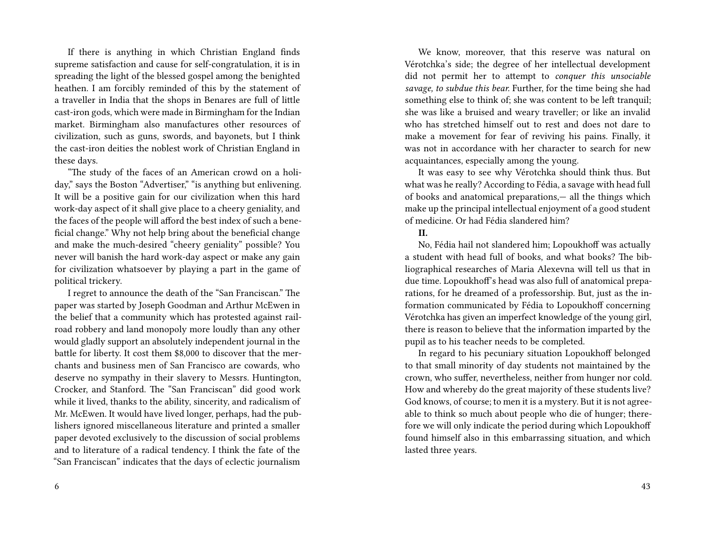If there is anything in which Christian England finds supreme satisfaction and cause for self-congratulation, it is in spreading the light of the blessed gospel among the benighted heathen. I am forcibly reminded of this by the statement of a traveller in India that the shops in Benares are full of little cast-iron gods, which were made in Birmingham for the Indian market. Birmingham also manufactures other resources of civilization, such as guns, swords, and bayonets, but I think the cast-iron deities the noblest work of Christian England in these days.

"The study of the faces of an American crowd on a holiday," says the Boston "Advertiser," "is anything but enlivening. It will be a positive gain for our civilization when this hard work-day aspect of it shall give place to a cheery geniality, and the faces of the people will afford the best index of such a beneficial change." Why not help bring about the beneficial change and make the much-desired "cheery geniality" possible? You never will banish the hard work-day aspect or make any gain for civilization whatsoever by playing a part in the game of political trickery.

I regret to announce the death of the "San Franciscan." The paper was started by Joseph Goodman and Arthur McEwen in the belief that a community which has protested against railroad robbery and land monopoly more loudly than any other would gladly support an absolutely independent journal in the battle for liberty. It cost them \$8,000 to discover that the merchants and business men of San Francisco are cowards, who deserve no sympathy in their slavery to Messrs. Huntington, Crocker, and Stanford. The "San Franciscan" did good work while it lived, thanks to the ability, sincerity, and radicalism of Mr. McEwen. It would have lived longer, perhaps, had the publishers ignored miscellaneous literature and printed a smaller paper devoted exclusively to the discussion of social problems and to literature of a radical tendency. I think the fate of the "San Franciscan" indicates that the days of eclectic journalism

We know, moreover, that this reserve was natural on Vérotchka's side; the degree of her intellectual development did not permit her to attempt to *conquer this unsociable savage, to subdue this bear.* Further, for the time being she had something else to think of; she was content to be left tranquil; she was like a bruised and weary traveller; or like an invalid who has stretched himself out to rest and does not dare to make a movement for fear of reviving his pains. Finally, it was not in accordance with her character to search for new acquaintances, especially among the young.

It was easy to see why Vérotchka should think thus. But what was he really? According to Fédia, a savage with head full of books and anatomical preparations,— all the things which make up the principal intellectual enjoyment of a good student of medicine. Or had Fédia slandered him?

#### **II.**

No, Fédia hail not slandered him; Lopoukhoff was actually a student with head full of books, and what books? The bibliographical researches of Maria Alexevna will tell us that in due time. Lopoukhof's head was also full of anatomical preparations, for he dreamed of a professorship. But, just as the information communicated by Fédia to Lopoukhoff concerning Vérotchka has given an imperfect knowledge of the young girl, there is reason to believe that the information imparted by the pupil as to his teacher needs to be completed.

In regard to his pecuniary situation Lopoukhoff belonged to that small minority of day students not maintained by the crown, who suffer, nevertheless, neither from hunger nor cold. How and whereby do the great majority of these students live? God knows, of course; to men it is a mystery. But it is not agreeable to think so much about people who die of hunger; therefore we will only indicate the period during which Lopoukhoff found himself also in this embarrassing situation, and which lasted three years.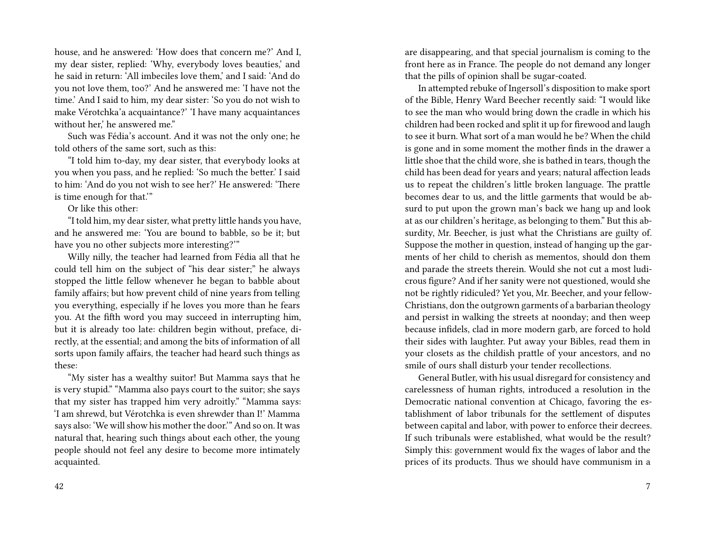house, and he answered: 'How does that concern me?' And I, my dear sister, replied: 'Why, everybody loves beauties,' and he said in return: 'All imbeciles love them,' and I said: 'And do you not love them, too?' And he answered me: 'I have not the time.' And I said to him, my dear sister: 'So you do not wish to make Vérotchka'a acquaintance?' 'I have many acquaintances without her,' he answered me."

Such was Fédia's account. And it was not the only one; he told others of the same sort, such as this:

"I told him to-day, my dear sister, that everybody looks at you when you pass, and he replied: 'So much the better.' I said to him: 'And do you not wish to see her?' He answered: 'There is time enough for that.'"

Or like this other:

"I told him, my dear sister, what pretty little hands you have, and he answered me: 'You are bound to babble, so be it; but have you no other subjects more interesting?'"

Willy nilly, the teacher had learned from Fédia all that he could tell him on the subject of "his dear sister;" he always stopped the little fellow whenever he began to babble about family affairs; but how prevent child of nine years from telling you everything, especially if he loves you more than he fears you. At the fifth word you may succeed in interrupting him, but it is already too late: children begin without, preface, directly, at the essential; and among the bits of information of all sorts upon family affairs, the teacher had heard such things as these:

"My sister has a wealthy suitor! But Mamma says that he is very stupid." "Mamma also pays court to the suitor; she says that my sister has trapped him very adroitly." "Mamma says: 'I am shrewd, but Vérotchka is even shrewder than I!' Mamma says also: 'We will show his mother the door.'" And so on. It was natural that, hearing such things about each other, the young people should not feel any desire to become more intimately acquainted.

are disappearing, and that special journalism is coming to the front here as in France. The people do not demand any longer that the pills of opinion shall be sugar-coated.

In attempted rebuke of Ingersoll's disposition to make sport of the Bible, Henry Ward Beecher recently said: "I would like to see the man who would bring down the cradle in which his children had been rocked and split it up for firewood and laugh to see it burn. What sort of a man would he be? When the child is gone and in some moment the mother finds in the drawer a little shoe that the child wore, she is bathed in tears, though the child has been dead for years and years; natural affection leads us to repeat the children's little broken language. The prattle becomes dear to us, and the little garments that would be absurd to put upon the grown man's back we hang up and look at as our children's heritage, as belonging to them." But this absurdity, Mr. Beecher, is just what the Christians are guilty of. Suppose the mother in question, instead of hanging up the garments of her child to cherish as mementos, should don them and parade the streets therein. Would she not cut a most ludicrous figure? And if her sanity were not questioned, would she not be rightly ridiculed? Yet you, Mr. Beecher, and your fellow-Christians, don the outgrown garments of a barbarian theology and persist in walking the streets at noonday; and then weep because infidels, clad in more modern garb, are forced to hold their sides with laughter. Put away your Bibles, read them in your closets as the childish prattle of your ancestors, and no smile of ours shall disturb your tender recollections.

General Butler, with his usual disregard for consistency and carelessness of human rights, introduced a resolution in the Democratic national convention at Chicago, favoring the establishment of labor tribunals for the settlement of disputes between capital and labor, with power to enforce their decrees. If such tribunals were established, what would be the result? Simply this: government would fix the wages of labor and the prices of its products. Thus we should have communism in a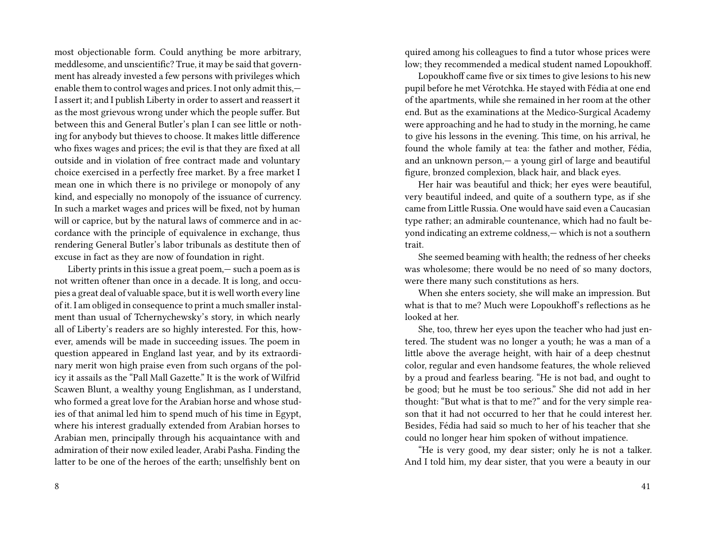most objectionable form. Could anything be more arbitrary, meddlesome, and unscientific? True, it may be said that government has already invested a few persons with privileges which enable them to control wages and prices. I not only admit this,— I assert it; and I publish Liberty in order to assert and reassert it as the most grievous wrong under which the people suffer. But between this and General Butler's plan I can see little or nothing for anybody but thieves to choose. It makes little difference who fixes wages and prices; the evil is that they are fixed at all outside and in violation of free contract made and voluntary choice exercised in a perfectly free market. By a free market I mean one in which there is no privilege or monopoly of any kind, and especially no monopoly of the issuance of currency. In such a market wages and prices will be fixed, not by human will or caprice, but by the natural laws of commerce and in accordance with the principle of equivalence in exchange, thus rendering General Butler's labor tribunals as destitute then of excuse in fact as they are now of foundation in right.

Liberty prints in this issue a great poem,— such a poem as is not written oftener than once in a decade. It is long, and occupies a great deal of valuable space, but it is well worth every line of it. I am obliged in consequence to print a much smaller instalment than usual of Tchernychewsky's story, in which nearly all of Liberty's readers are so highly interested. For this, however, amends will be made in succeeding issues. The poem in question appeared in England last year, and by its extraordinary merit won high praise even from such organs of the policy it assails as the "Pall Mall Gazette." It is the work of Wilfrid Scawen Blunt, a wealthy young Englishman, as I understand, who formed a great love for the Arabian horse and whose studies of that animal led him to spend much of his time in Egypt, where his interest gradually extended from Arabian horses to Arabian men, principally through his acquaintance with and admiration of their now exiled leader, Arabi Pasha. Finding the latter to be one of the heroes of the earth; unselfishly bent on

quired among his colleagues to find a tutor whose prices were low; they recommended a medical student named Lopoukhoff.

Lopoukhoff came five or six times to give lesions to his new pupil before he met Vérotchka. He stayed with Fédia at one end of the apartments, while she remained in her room at the other end. But as the examinations at the Medico-Surgical Academy were approaching and he had to study in the morning, he came to give his lessons in the evening. This time, on his arrival, he found the whole family at tea: the father and mother, Fédia, and an unknown person,— a young girl of large and beautiful figure, bronzed complexion, black hair, and black eyes.

Her hair was beautiful and thick; her eyes were beautiful, very beautiful indeed, and quite of a southern type, as if she came from Little Russia. One would have said even a Caucasian type rather; an admirable countenance, which had no fault beyond indicating an extreme coldness,— which is not a southern trait.

She seemed beaming with health; the redness of her cheeks was wholesome; there would be no need of so many doctors, were there many such constitutions as hers.

When she enters society, she will make an impression. But what is that to me? Much were Lopoukhof's reflections as he looked at her.

She, too, threw her eyes upon the teacher who had just entered. The student was no longer a youth; he was a man of a little above the average height, with hair of a deep chestnut color, regular and even handsome features, the whole relieved by a proud and fearless bearing. "He is not bad, and ought to be good; but he must be too serious." She did not add in her thought: "But what is that to me?" and for the very simple reason that it had not occurred to her that he could interest her. Besides, Fédia had said so much to her of his teacher that she could no longer hear him spoken of without impatience.

"He is very good, my dear sister; only he is not a talker. And I told him, my dear sister, that you were a beauty in our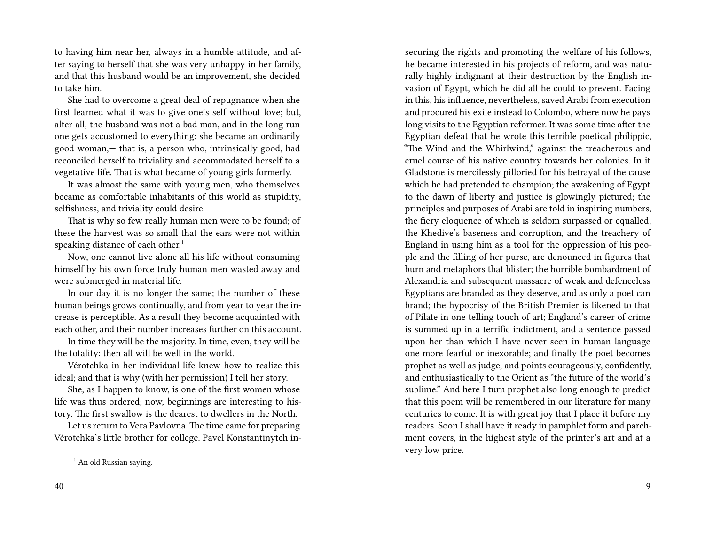to having him near her, always in a humble attitude, and after saying to herself that she was very unhappy in her family, and that this husband would be an improvement, she decided to take him.

She had to overcome a great deal of repugnance when she first learned what it was to give one's self without love; but, alter all, the husband was not a bad man, and in the long run one gets accustomed to everything; she became an ordinarily good woman,— that is, a person who, intrinsically good, had reconciled herself to triviality and accommodated herself to a vegetative life. That is what became of young girls formerly.

It was almost the same with young men, who themselves became as comfortable inhabitants of this world as stupidity, selfishness, and triviality could desire.

That is why so few really human men were to be found; of these the harvest was so small that the ears were not within speaking distance of each other.<sup>1</sup>

Now, one cannot live alone all his life without consuming himself by his own force truly human men wasted away and were submerged in material life.

In our day it is no longer the same; the number of these human beings grows continually, and from year to year the increase is perceptible. As a result they become acquainted with each other, and their number increases further on this account.

In time they will be the majority. In time, even, they will be the totality: then all will be well in the world.

Vérotchka in her individual life knew how to realize this ideal; and that is why (with her permission) I tell her story.

She, as I happen to know, is one of the first women whose life was thus ordered; now, beginnings are interesting to history. The first swallow is the dearest to dwellers in the North.

Let us return to Vera Pavlovna. The time came for preparing Vérotchka's little brother for college. Pavel Konstantinytch insecuring the rights and promoting the welfare of his follows, he became interested in his projects of reform, and was naturally highly indignant at their destruction by the English invasion of Egypt, which he did all he could to prevent. Facing in this, his influence, nevertheless, saved Arabi from execution and procured his exile instead to Colombo, where now he pays long visits to the Egyptian reformer. It was some time after the Egyptian defeat that he wrote this terrible poetical philippic, "The Wind and the Whirlwind," against the treacherous and cruel course of his native country towards her colonies. In it Gladstone is mercilessly pilloried for his betrayal of the cause which he had pretended to champion; the awakening of Egypt to the dawn of liberty and justice is glowingly pictured; the principles and purposes of Arabi are told in inspiring numbers, the fiery eloquence of which is seldom surpassed or equalled; the Khedive's baseness and corruption, and the treachery of England in using him as a tool for the oppression of his people and the filling of her purse, are denounced in figures that burn and metaphors that blister; the horrible bombardment of Alexandria and subsequent massacre of weak and defenceless Egyptians are branded as they deserve, and as only a poet can brand; the hypocrisy of the British Premier is likened to that of Pilate in one telling touch of art; England's career of crime is summed up in a terrific indictment, and a sentence passed upon her than which I have never seen in human language one more fearful or inexorable; and finally the poet becomes prophet as well as judge, and points courageously, confidently, and enthusiastically to the Orient as "the future of the world's sublime." And here I turn prophet also long enough to predict that this poem will be remembered in our literature for many centuries to come. It is with great joy that I place it before my readers. Soon I shall have it ready in pamphlet form and parchment covers, in the highest style of the printer's art and at a very low price.

 $<sup>1</sup>$  An old Russian saying.</sup>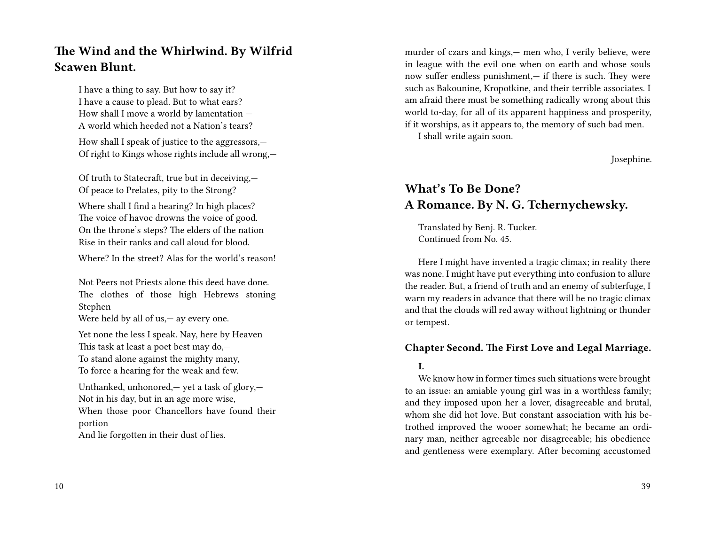### **The Wind and the Whirlwind. By Wilfrid Scawen Blunt.**

I have a thing to say. But how to say it? I have a cause to plead. But to what ears? How shall I move a world by lamentation — A world which heeded not a Nation's tears?

How shall I speak of justice to the aggressors,— Of right to Kings whose rights include all wrong,—

Of truth to Statecraft, true but in deceiving,— Of peace to Prelates, pity to the Strong?

Where shall I find a hearing? In high places? The voice of havoc drowns the voice of good. On the throne's steps? The elders of the nation Rise in their ranks and call aloud for blood.

Where? In the street? Alas for the world's reason!

Not Peers not Priests alone this deed have done. The clothes of those high Hebrews stoning Stephen

Were held by all of us, — ay every one.

Yet none the less I speak. Nay, here by Heaven This task at least a poet best may do,— To stand alone against the mighty many, To force a hearing for the weak and few.

Unthanked, unhonored,— yet a task of glory,— Not in his day, but in an age more wise, When those poor Chancellors have found their portion And lie forgotten in their dust of lies.

murder of czars and kings,— men who, I verily believe, were in league with the evil one when on earth and whose souls now suffer endless punishment,— if there is such. They were such as Bakounine, Kropotkine, and their terrible associates. I am afraid there must be something radically wrong about this world to-day, for all of its apparent happiness and prosperity, if it worships, as it appears to, the memory of such bad men.

I shall write again soon.

Josephine.

## **What's To Be Done? A Romance. By N. G. Tchernychewsky.**

Translated by Benj. R. Tucker. Continued from No. 45.

Here I might have invented a tragic climax; in reality there was none. I might have put everything into confusion to allure the reader. But, a friend of truth and an enemy of subterfuge, I warn my readers in advance that there will be no tragic climax and that the clouds will red away without lightning or thunder or tempest.

#### **Chapter Second. The First Love and Legal Marriage.**

#### **I.**

We know how in former times such situations were brought to an issue: an amiable young girl was in a worthless family; and they imposed upon her a lover, disagreeable and brutal, whom she did hot love. But constant association with his betrothed improved the wooer somewhat; he became an ordinary man, neither agreeable nor disagreeable; his obedience and gentleness were exemplary. After becoming accustomed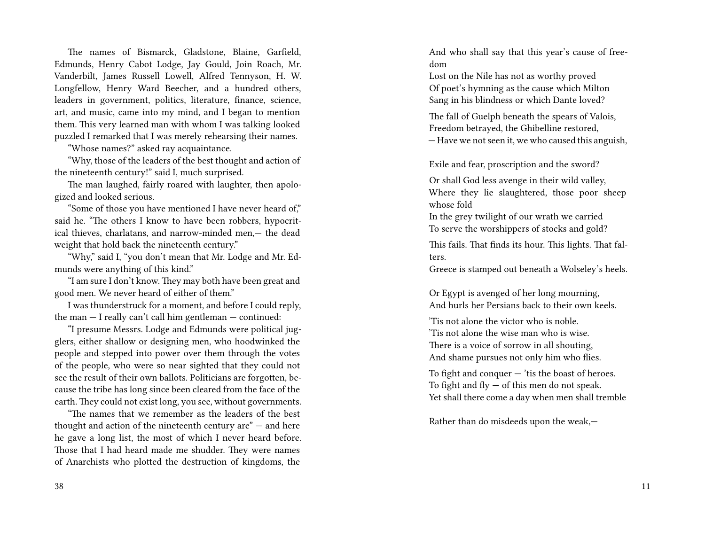The names of Bismarck, Gladstone, Blaine, Garfield, Edmunds, Henry Cabot Lodge, Jay Gould, Join Roach, Mr. Vanderbilt, James Russell Lowell, Alfred Tennyson, H. W. Longfellow, Henry Ward Beecher, and a hundred others, leaders in government, politics, literature, finance, science, art, and music, came into my mind, and I began to mention them. This very learned man with whom I was talking looked puzzled I remarked that I was merely rehearsing their names.

"Whose names?" asked ray acquaintance.

"Why, those of the leaders of the best thought and action of the nineteenth century!" said I, much surprised.

The man laughed, fairly roared with laughter, then apologized and looked serious.

"Some of those you have mentioned I have never heard of," said he. "The others I know to have been robbers, hypocritical thieves, charlatans, and narrow-minded men,— the dead weight that hold back the nineteenth century."

"Why," said I, "you don't mean that Mr. Lodge and Mr. Edmunds were anything of this kind."

"I am sure I don't know. They may both have been great and good men. We never heard of either of them."

I was thunderstruck for a moment, and before I could reply, the man  $-$  I really can't call him gentleman  $-$  continued:

"I presume Messrs. Lodge and Edmunds were political jugglers, either shallow or designing men, who hoodwinked the people and stepped into power over them through the votes of the people, who were so near sighted that they could not see the result of their own ballots. Politicians are forgotten, because the tribe has long since been cleared from the face of the earth. They could not exist long, you see, without governments.

"The names that we remember as the leaders of the best thought and action of the nineteenth century are"  $-$  and here he gave a long list, the most of which I never heard before. Those that I had heard made me shudder. They were names of Anarchists who plotted the destruction of kingdoms, the

And who shall say that this year's cause of freedom

Lost on the Nile has not as worthy proved Of poet's hymning as the cause which Milton Sang in his blindness or which Dante loved?

The fall of Guelph beneath the spears of Valois, Freedom betrayed, the Ghibelline restored, — Have we not seen it, we who caused this anguish,

Exile and fear, proscription and the sword?

Or shall God less avenge in their wild valley, Where they lie slaughtered, those poor sheep whose fold

In the grey twilight of our wrath we carried To serve the worshippers of stocks and gold?

This fails. That finds its hour. This lights. That falters.

Greece is stamped out beneath a Wolseley's heels.

Or Egypt is avenged of her long mourning, And hurls her Persians back to their own keels.

'Tis not alone the victor who is noble. 'Tis not alone the wise man who is wise. There is a voice of sorrow in all shouting, And shame pursues not only him who flies.

To fight and conquer  $-$  'tis the boast of heroes. To fight and  $fly - of this$  men do not speak. Yet shall there come a day when men shall tremble

Rather than do misdeeds upon the weak,—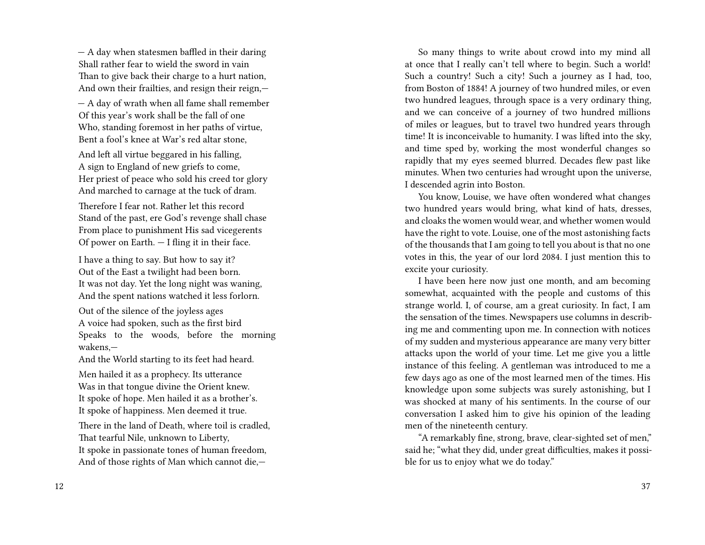— A day when statesmen baffled in their daring Shall rather fear to wield the sword in vain Than to give back their charge to a hurt nation, And own their frailties, and resign their reign,—

— A day of wrath when all fame shall remember Of this year's work shall be the fall of one Who, standing foremost in her paths of virtue, Bent a fool's knee at War's red altar stone,

And left all virtue beggared in his falling, A sign to England of new griefs to come, Her priest of peace who sold his creed tor glory And marched to carnage at the tuck of dram.

Therefore I fear not. Rather let this record Stand of the past, ere God's revenge shall chase From place to punishment His sad vicegerents Of power on Earth. — I fling it in their face.

I have a thing to say. But how to say it? Out of the East a twilight had been born. It was not day. Yet the long night was waning, And the spent nations watched it less forlorn.

Out of the silence of the joyless ages A voice had spoken, such as the first bird Speaks to the woods, before the morning wakens,—

And the World starting to its feet had heard.

Men hailed it as a prophecy. Its utterance Was in that tongue divine the Orient knew. It spoke of hope. Men hailed it as a brother's. It spoke of happiness. Men deemed it true.

There in the land of Death, where toil is cradled, That tearful Nile, unknown to Liberty, It spoke in passionate tones of human freedom, And of those rights of Man which cannot die,—

So many things to write about crowd into my mind all at once that I really can't tell where to begin. Such a world! Such a country! Such a city! Such a journey as I had, too, from Boston of 1884! A journey of two hundred miles, or even two hundred leagues, through space is a very ordinary thing, and we can conceive of a journey of two hundred millions of miles or leagues, but to travel two hundred years through time! It is inconceivable to humanity. I was lifted into the sky, and time sped by, working the most wonderful changes so rapidly that my eyes seemed blurred. Decades flew past like minutes. When two centuries had wrought upon the universe, I descended agrin into Boston.

You know, Louise, we have often wondered what changes two hundred years would bring, what kind of hats, dresses, and cloaks the women would wear, and whether women would have the right to vote. Louise, one of the most astonishing facts of the thousands that I am going to tell you about is that no one votes in this, the year of our lord 2084. I just mention this to excite your curiosity.

I have been here now just one month, and am becoming somewhat, acquainted with the people and customs of this strange world. I, of course, am a great curiosity. In fact, I am the sensation of the times. Newspapers use columns in describing me and commenting upon me. In connection with notices of my sudden and mysterious appearance are many very bitter attacks upon the world of your time. Let me give you a little instance of this feeling. A gentleman was introduced to me a few days ago as one of the most learned men of the times. His knowledge upon some subjects was surely astonishing, but I was shocked at many of his sentiments. In the course of our conversation I asked him to give his opinion of the leading men of the nineteenth century.

"A remarkably fine, strong, brave, clear-sighted set of men," said he; "what they did, under great difficulties, makes it possible for us to enjoy what we do today."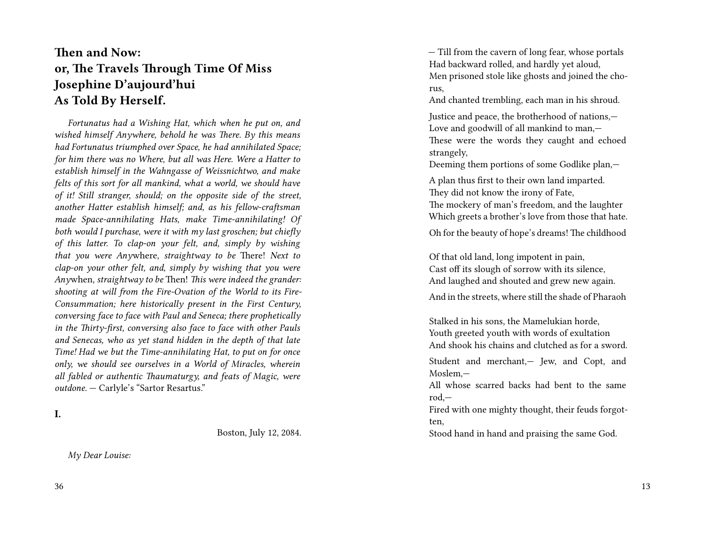## **Then and Now: or, The Travels Through Time Of Miss Josephine D'aujourd'hui As Told By Herself.**

*Fortunatus had a Wishing Hat, which when he put on, and wished himself Anywhere, behold he was There. By this means had Fortunatus triumphed over Space, he had annihilated Space; for him there was no Where, but all was Here. Were a Hatter to establish himself in the Wahngasse of Weissnichtwo, and make felts of this sort for all mankind, what a world, we should have of it! Still stranger, should; on the opposite side of the street, another Hatter establish himself; and, as his fellow-craftsman made Space-annihilating Hats, make Time-annihilating! Of both would I purchase, were it with my last groschen; but chiefly of this latter. To clap-on your felt, and, simply by wishing that you were Any*where, *straightway to be* There! *Next to clap-on your other felt, and, simply by wishing that you were Any*when, *straightway to be* Then! *This were indeed the grander: shooting at will from the Fire-Ovation of the World to its Fire-Consummation; here historically present in the First Century, conversing face to face with Paul and Seneca; there prophetically in the Thirty-first, conversing also face to face with other Pauls and Senecas, who as yet stand hidden in the depth of that late Time! Had we but the Time-annihilating Hat, to put on for once only, we should see ourselves in a World of Miracles, wherein all fabled or authentic Thaumaturgy, and feats of Magic, were outdone.* — Carlyle's "Sartor Resartus."

**I.**

Boston, July 12, 2084.

*My Dear Louise:*

— Till from the cavern of long fear, whose portals Had backward rolled, and hardly yet aloud, Men prisoned stole like ghosts and joined the chorus,

And chanted trembling, each man in his shroud.

Justice and peace, the brotherhood of nations,— Love and goodwill of all mankind to man,— These were the words they caught and echoed strangely,

Deeming them portions of some Godlike plan,—

A plan thus first to their own land imparted. They did not know the irony of Fate, The mockery of man's freedom, and the laughter Which greets a brother's love from those that hate.

Oh for the beauty of hope's dreams! The childhood

Of that old land, long impotent in pain, Cast off its slough of sorrow with its silence, And laughed and shouted and grew new again.

And in the streets, where still the shade of Pharaoh

Stalked in his sons, the Mamelukian horde, Youth greeted youth with words of exultation And shook his chains and clutched as for a sword.

Student and merchant,— Jew, and Copt, and Moslem,—

All whose scarred backs had bent to the same rod,—

Fired with one mighty thought, their feuds forgotten,

Stood hand in hand and praising the same God.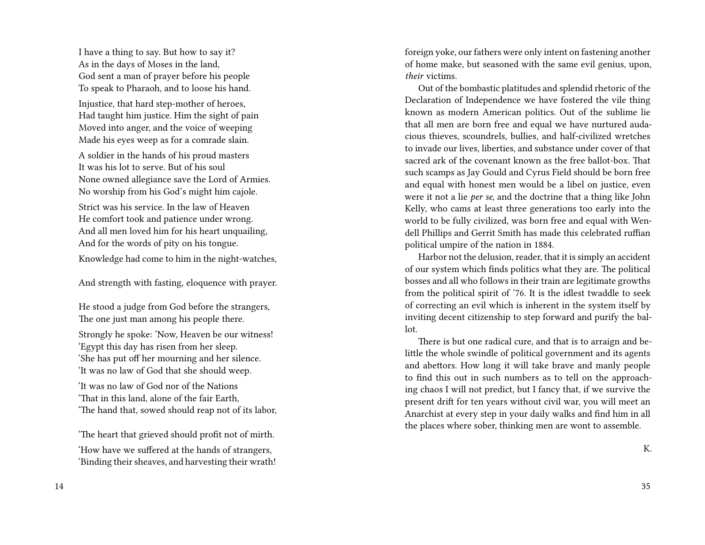I have a thing to say. But how to say it? As in the days of Moses in the land, God sent a man of prayer before his people To speak to Pharaoh, and to loose his hand.

Injustice, that hard step-mother of heroes, Had taught him justice. Him the sight of pain Moved into anger, and the voice of weeping Made his eyes weep as for a comrade slain.

A soldier in the hands of his proud masters It was his lot to serve. But of his soul None owned allegiance save the Lord of Armies. No worship from his God's might him cajole.

Strict was his service. In the law of Heaven He comfort took and patience under wrong. And all men loved him for his heart unquailing, And for the words of pity on his tongue.

Knowledge had come to him in the night-watches,

And strength with fasting, eloquence with prayer.

He stood a judge from God before the strangers, The one just man among his people there.

Strongly he spoke: 'Now, Heaven be our witness! 'Egypt this day has risen from her sleep. 'She has put off her mourning and her silence. 'It was no law of God that she should weep.

'It was no law of God nor of the Nations 'That in this land, alone of the fair Earth, 'The hand that, sowed should reap not of its labor,

'The heart that grieved should profit not of mirth. 'How have we suffered at the hands of strangers, 'Binding their sheaves, and harvesting their wrath! foreign yoke, our fathers were only intent on fastening another of home make, but seasoned with the same evil genius, upon, *their* victims.

Out of the bombastic platitudes and splendid rhetoric of the Declaration of Independence we have fostered the vile thing known as modern American politics. Out of the sublime lie that all men are born free and equal we have nurtured audacious thieves, scoundrels, bullies, and half-civilized wretches to invade our lives, liberties, and substance under cover of that sacred ark of the covenant known as the free ballot-box. That such scamps as Jay Gould and Cyrus Field should be born free and equal with honest men would be a libel on justice, even were it not a lie *per se,* and the doctrine that a thing like John Kelly, who cams at least three generations too early into the world to be fully civilized, was born free and equal with Wendell Phillips and Gerrit Smith has made this celebrated ruffian political umpire of the nation in 1884.

Harbor not the delusion, reader, that it is simply an accident of our system which finds politics what they are. The political bosses and all who follows in their train are legitimate growths from the political spirit of '76. It is the idlest twaddle to seek of correcting an evil which is inherent in the system itself by inviting decent citizenship to step forward and purify the ballot.

There is but one radical cure, and that is to arraign and belittle the whole swindle of political government and its agents and abettors. How long it will take brave and manly people to find this out in such numbers as to tell on the approaching chaos I will not predict, but I fancy that, if we survive the present drift for ten years without civil war, you will meet an Anarchist at every step in your daily walks and find him in all the places where sober, thinking men are wont to assemble.

K.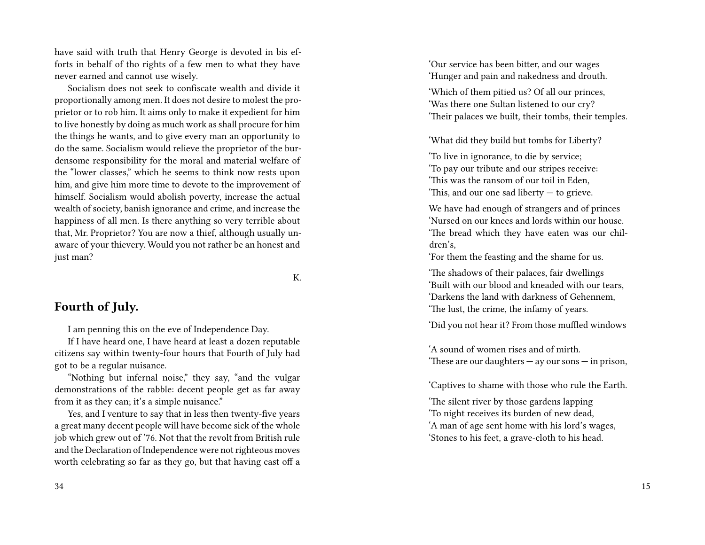have said with truth that Henry George is devoted in bis efforts in behalf of tho rights of a few men to what they have never earned and cannot use wisely.

Socialism does not seek to confiscate wealth and divide it proportionally among men. It does not desire to molest the proprietor or to rob him. It aims only to make it expedient for him to live honestly by doing as much work as shall procure for him the things he wants, and to give every man an opportunity to do the same. Socialism would relieve the proprietor of the burdensome responsibility for the moral and material welfare of the "lower classes," which he seems to think now rests upon him, and give him more time to devote to the improvement of himself. Socialism would abolish poverty, increase the actual wealth of society, banish ignorance and crime, and increase the happiness of all men. Is there anything so very terrible about that, Mr. Proprietor? You are now a thief, although usually unaware of your thievery. Would you not rather be an honest and just man?

K.

#### **Fourth of July.**

I am penning this on the eve of Independence Day.

If I have heard one, I have heard at least a dozen reputable citizens say within twenty-four hours that Fourth of July had got to be a regular nuisance.

"Nothing but infernal noise," they say, "and the vulgar demonstrations of the rabble: decent people get as far away from it as they can; it's a simple nuisance."

Yes, and I venture to say that in less then twenty-five years a great many decent people will have become sick of the whole job which grew out of '76. Not that the revolt from British rule and the Declaration of Independence were not righteous moves worth celebrating so far as they go, but that having cast off a 'Our service has been bitter, and our wages 'Hunger and pain and nakedness and drouth.

'Which of them pitied us? Of all our princes, 'Was there one Sultan listened to our cry? 'Their palaces we built, their tombs, their temples.

'What did they build but tombs for Liberty?

'To live in ignorance, to die by service; 'To pay our tribute and our stripes receive: 'This was the ransom of our toil in Eden, 'This, and our one sad liberty — to grieve.

We have had enough of strangers and of princes 'Nursed on our knees and lords within our house. 'The bread which they have eaten was our children's,

'For them the feasting and the shame for us.

'The shadows of their palaces, fair dwellings 'Built with our blood and kneaded with our tears, 'Darkens the land with darkness of Gehennem, 'The lust, the crime, the infamy of years.

'Did you not hear it? From those muffled windows

'A sound of women rises and of mirth. 'These are our daughters — ay our sons — in prison,

'Captives to shame with those who rule the Earth.

'The silent river by those gardens lapping 'To night receives its burden of new dead, 'A man of age sent home with his lord's wages, 'Stones to his feet, a grave-cloth to his head.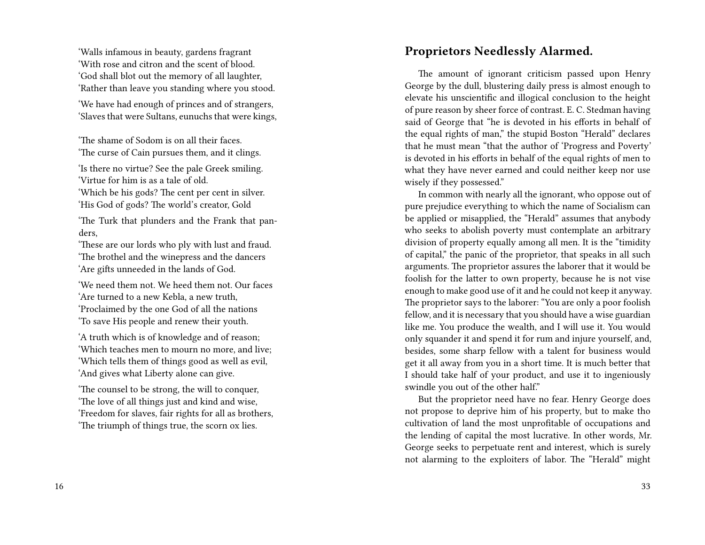'Walls infamous in beauty, gardens fragrant 'With rose and citron and the scent of blood. 'God shall blot out the memory of all laughter, 'Rather than leave you standing where you stood.

'We have had enough of princes and of strangers, 'Slaves that were Sultans, eunuchs that were kings,

'The shame of Sodom is on all their faces. 'The curse of Cain pursues them, and it clings.

'Is there no virtue? See the pale Greek smiling. 'Virtue for him is as a tale of old. 'Which be his gods? The cent per cent in silver.

'His God of gods? The world's creator, Gold

'The Turk that plunders and the Frank that panders,

'These are our lords who ply with lust and fraud. 'The brothel and the winepress and the dancers 'Are gifts unneeded in the lands of God.

'We need them not. We heed them not. Our faces 'Are turned to a new Kebla, a new truth, 'Proclaimed by the one God of all the nations 'To save His people and renew their youth.

'A truth which is of knowledge and of reason; 'Which teaches men to mourn no more, and live; 'Which tells them of things good as well as evil, 'And gives what Liberty alone can give.

'The counsel to be strong, the will to conquer, 'The love of all things just and kind and wise, 'Freedom for slaves, fair rights for all as brothers, 'The triumph of things true, the scorn ox lies.

# **Proprietors Needlessly Alarmed.**

The amount of ignorant criticism passed upon Henry George by the dull, blustering daily press is almost enough to elevate his unscientific and illogical conclusion to the height of pure reason by sheer force of contrast. E. C. Stedman having said of George that "he is devoted in his efforts in behalf of the equal rights of man," the stupid Boston "Herald" declares that he must mean "that the author of 'Progress and Poverty' is devoted in his efforts in behalf of the equal rights of men to what they have never earned and could neither keep nor use wisely if they possessed."

In common with nearly all the ignorant, who oppose out of pure prejudice everything to which the name of Socialism can be applied or misapplied, the "Herald" assumes that anybody who seeks to abolish poverty must contemplate an arbitrary division of property equally among all men. It is the "timidity of capital," the panic of the proprietor, that speaks in all such arguments. The proprietor assures the laborer that it would be foolish for the latter to own property, because he is not vise enough to make good use of it and he could not keep it anyway. The proprietor says to the laborer: "You are only a poor foolish fellow, and it is necessary that you should have a wise guardian like me. You produce the wealth, and I will use it. You would only squander it and spend it for rum and injure yourself, and, besides, some sharp fellow with a talent for business would get it all away from you in a short time. It is much better that I should take half of your product, and use it to ingeniously swindle you out of the other half."

But the proprietor need have no fear. Henry George does not propose to deprive him of his property, but to make tho cultivation of land the most unprofitable of occupations and the lending of capital the most lucrative. In other words, Mr. George seeks to perpetuate rent and interest, which is surely not alarming to the exploiters of labor. The "Herald" might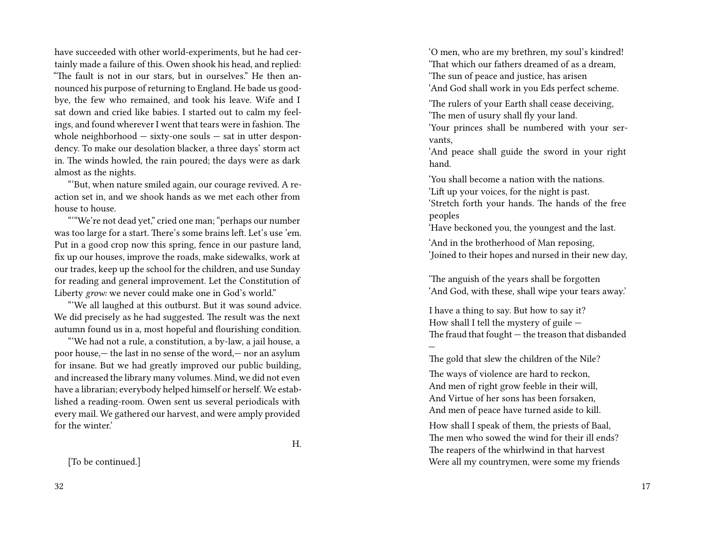have succeeded with other world-experiments, but he had certainly made a failure of this. Owen shook his head, and replied: "The fault is not in our stars, but in ourselves." He then announced his purpose of returning to England. He bade us goodbye, the few who remained, and took his leave. Wife and I sat down and cried like babies. I started out to calm my feelings, and found wherever I went that tears were in fashion. The whole neighborhood  $-$  sixty-one souls  $-$  sat in utter despondency. To make our desolation blacker, a three days' storm act in. The winds howled, the rain poured; the days were as dark almost as the nights.

"'But, when nature smiled again, our courage revived. A reaction set in, and we shook hands as we met each other from house to house.

"'"We're not dead yet," cried one man; "perhaps our number was too large for a start. There's some brains left. Let's use 'em. Put in a good crop now this spring, fence in our pasture land, fix up our houses, improve the roads, make sidewalks, work at our trades, keep up the school for the children, and use Sunday for reading and general improvement. Let the Constitution of Liberty *grow:* we never could make one in God's world."

"'We all laughed at this outburst. But it was sound advice. We did precisely as he had suggested. The result was the next autumn found us in a, most hopeful and flourishing condition.

"'We had not a rule, a constitution, a by-law, a jail house, a poor house,— the last in no sense of the word,— nor an asylum for insane. But we had greatly improved our public building, and increased the library many volumes. Mind, we did not even have a librarian; everybody helped himself or herself. We established a reading-room. Owen sent us several periodicals with every mail. We gathered our harvest, and were amply provided for the winter.'

H.

[To be continued.]

'O men, who are my brethren, my soul's kindred! 'That which our fathers dreamed of as a dream, 'The sun of peace and justice, has arisen 'And God shall work in you Eds perfect scheme.

'The rulers of your Earth shall cease deceiving, 'The men of usury shall fly your land.

'Your princes shall be numbered with your servants,

'And peace shall guide the sword in your right hand.

'You shall become a nation with the nations. 'Lift up your voices, for the night is past. 'Stretch forth your hands. The hands of the free peoples

'Have beckoned you, the youngest and the last.

'And in the brotherhood of Man reposing, 'Joined to their hopes and nursed in their new day,

'The anguish of the years shall be forgotten 'And God, with these, shall wipe your tears away.'

I have a thing to say. But how to say it? How shall I tell the mystery of guile — The fraud that fought — the treason that disbanded —

The gold that slew the children of the Nile?

The ways of violence are hard to reckon, And men of right grow feeble in their will, And Virtue of her sons has been forsaken, And men of peace have turned aside to kill.

How shall I speak of them, the priests of Baal, The men who sowed the wind for their ill ends? The reapers of the whirlwind in that harvest Were all my countrymen, were some my friends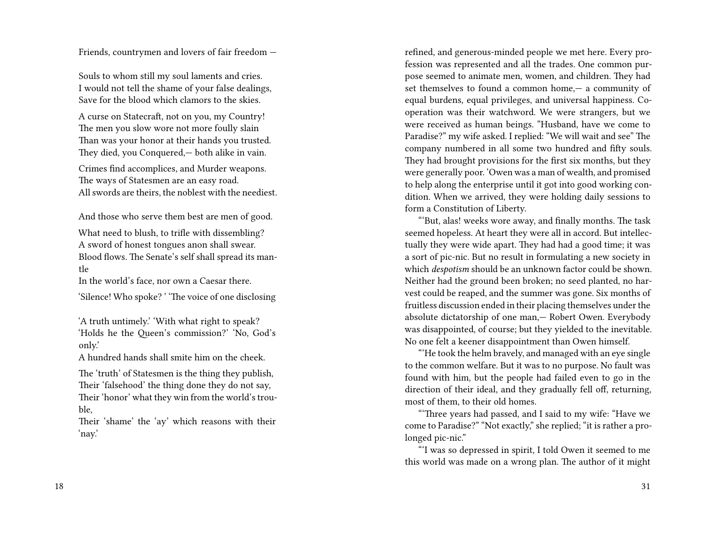Friends, countrymen and lovers of fair freedom —

Souls to whom still my soul laments and cries. I would not tell the shame of your false dealings, Save for the blood which clamors to the skies.

A curse on Statecraft, not on you, my Country! The men you slow wore not more foully slain Than was your honor at their hands you trusted. They died, you Conquered,— both alike in vain.

Crimes find accomplices, and Murder weapons. The ways of Statesmen are an easy road. All swords are theirs, the noblest with the neediest.

And those who serve them best are men of good.

What need to blush, to trifle with dissembling? A sword of honest tongues anon shall swear. Blood flows. The Senate's self shall spread its mantle

In the world's face, nor own a Caesar there.

'Silence! Who spoke? ' 'The voice of one disclosing

'A truth untimely.' 'With what right to speak? 'Holds he the Queen's commission?' 'No, God's only.'

A hundred hands shall smite him on the cheek.

The 'truth' of Statesmen is the thing they publish, Their 'falsehood' the thing done they do not say, Their 'honor' what they win from the world's trouble,

Their 'shame' the 'ay' which reasons with their 'nay.'

refined, and generous-minded people we met here. Every profession was represented and all the trades. One common purpose seemed to animate men, women, and children. They had set themselves to found a common home,— a community of equal burdens, equal privileges, and universal happiness. Cooperation was their watchword. We were strangers, but we were received as human beings. "Husband, have we come to Paradise?" my wife asked. I replied: "We will wait and see" The company numbered in all some two hundred and fifty souls. They had brought provisions for the first six months, but they were generally poor. 'Owen was a man of wealth, and promised to help along the enterprise until it got into good working condition. When we arrived, they were holding daily sessions to form a Constitution of Liberty.

"'But, alas! weeks wore away, and finally months. The task seemed hopeless. At heart they were all in accord. But intellectually they were wide apart. They had had a good time; it was a sort of pic-nic. But no result in formulating a new society in which *despotism* should be an unknown factor could be shown. Neither had the ground been broken; no seed planted, no harvest could be reaped, and the summer was gone. Six months of fruitless discussion ended in their placing themselves under the absolute dictatorship of one man,— Robert Owen. Everybody was disappointed, of course; but they yielded to the inevitable. No one felt a keener disappointment than Owen himself.

"'He took the helm bravely, and managed with an eye single to the common welfare. But it was to no purpose. No fault was found with him, but the people had failed even to go in the direction of their ideal, and they gradually fell off, returning, most of them, to their old homes.

"'Three years had passed, and I said to my wife: "Have we come to Paradise?" "Not exactly," she replied; "it is rather a prolonged pic-nic."

"'I was so depressed in spirit, I told Owen it seemed to me this world was made on a wrong plan. The author of it might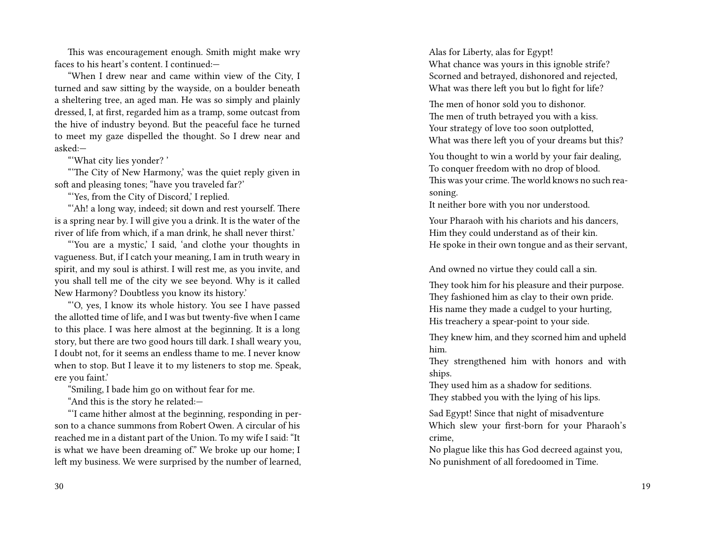This was encouragement enough. Smith might make wry faces to his heart's content. I continued:—

"When I drew near and came within view of the City, I turned and saw sitting by the wayside, on a boulder beneath a sheltering tree, an aged man. He was so simply and plainly dressed, I, at first, regarded him as a tramp, some outcast from the hive of industry beyond. But the peaceful face he turned to meet my gaze dispelled the thought. So I drew near and asked:—

"'What city lies yonder? '

"'The City of New Harmony,' was the quiet reply given in soft and pleasing tones; "have you traveled far?'

"'Yes, from the City of Discord,' I replied.

"'Ah! a long way, indeed; sit down and rest yourself. There is a spring near by. I will give you a drink. It is the water of the river of life from which, if a man drink, he shall never thirst.'

"'You are a mystic,' I said, 'and clothe your thoughts in vagueness. But, if I catch your meaning, I am in truth weary in spirit, and my soul is athirst. I will rest me, as you invite, and you shall tell me of the city we see beyond. Why is it called New Harmony? Doubtless you know its history.'

"'O, yes, I know its whole history. You see I have passed the allotted time of life, and I was but twenty-five when I came to this place. I was here almost at the beginning. It is a long story, but there are two good hours till dark. I shall weary you, I doubt not, for it seems an endless thame to me. I never know when to stop. But I leave it to my listeners to stop me. Speak, ere you faint.'

"Smiling, I bade him go on without fear for me.

"And this is the story he related:—

"'I came hither almost at the beginning, responding in person to a chance summons from Robert Owen. A circular of his reached me in a distant part of the Union. To my wife I said: "It is what we have been dreaming of." We broke up our home; I left my business. We were surprised by the number of learned, Alas for Liberty, alas for Egypt! What chance was yours in this ignoble strife? Scorned and betrayed, dishonored and rejected, What was there left you but lo fight for life?

The men of honor sold you to dishonor. The men of truth betrayed you with a kiss. Your strategy of love too soon outplotted, What was there left you of your dreams but this?

You thought to win a world by your fair dealing, To conquer freedom with no drop of blood. This was your crime. The world knows no such reasoning.

It neither bore with you nor understood.

Your Pharaoh with his chariots and his dancers, Him they could understand as of their kin. He spoke in their own tongue and as their servant,

And owned no virtue they could call a sin.

They took him for his pleasure and their purpose. They fashioned him as clay to their own pride. His name they made a cudgel to your hurting, His treachery a spear-point to your side.

They knew him, and they scorned him and upheld him.

They strengthened him with honors and with ships.

They used him as a shadow for seditions. They stabbed you with the lying of his lips.

Sad Egypt! Since that night of misadventure Which slew your first-born for your Pharaoh's crime,

No plague like this has God decreed against you, No punishment of all foredoomed in Time.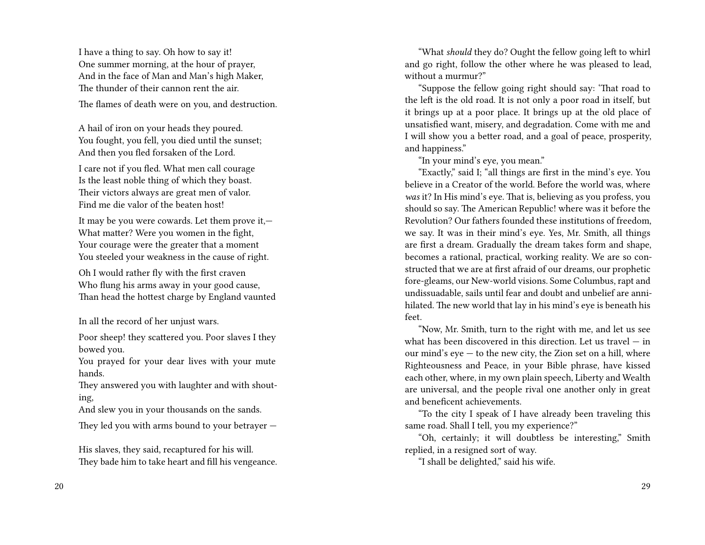I have a thing to say. Oh how to say it! One summer morning, at the hour of prayer, And in the face of Man and Man's high Maker, The thunder of their cannon rent the air.

The flames of death were on you, and destruction.

A hail of iron on your heads they poured. You fought, you fell, you died until the sunset; And then you fled forsaken of the Lord.

I care not if you fled. What men call courage Is the least noble thing of which they boast. Their victors always are great men of valor. Find me die valor of the beaten host!

It may be you were cowards. Let them prove it,— What matter? Were you women in the fight, Your courage were the greater that a moment You steeled your weakness in the cause of right.

Oh I would rather fly with the first craven Who flung his arms away in your good cause, Than head the hottest charge by England vaunted

In all the record of her unjust wars.

Poor sheep! they scattered you. Poor slaves I they bowed you.

You prayed for your dear lives with your mute hands.

They answered you with laughter and with shouting,

And slew you in your thousands on the sands.

They led you with arms bound to your betrayer —

His slaves, they said, recaptured for his will. They bade him to take heart and fill his vengeance.

"What *should* they do? Ought the fellow going left to whirl and go right, follow the other where he was pleased to lead, without a murmur?"

"Suppose the fellow going right should say: 'That road to the left is the old road. It is not only a poor road in itself, but it brings up at a poor place. It brings up at the old place of unsatisfied want, misery, and degradation. Come with me and I will show you a better road, and a goal of peace, prosperity, and happiness."

"In your mind's eye, you mean."

"Exactly," said I; "all things are first in the mind's eye. You believe in a Creator of the world. Before the world was, where *was* it? In His mind's eye. That is, believing as you profess, you should so say. The American Republic! where was it before the Revolution? Our fathers founded these institutions of freedom, we say. It was in their mind's eye. Yes, Mr. Smith, all things are first a dream. Gradually the dream takes form and shape, becomes a rational, practical, working reality. We are so constructed that we are at first afraid of our dreams, our prophetic fore-gleams, our New-world visions. Some Columbus, rapt and undissuadable, sails until fear and doubt and unbelief are annihilated. The new world that lay in his mind's eye is beneath his feet.

"Now, Mr. Smith, turn to the right with me, and let us see what has been discovered in this direction. Let us travel — in our mind's eye — to the new city, the Zion set on a hill, where Righteousness and Peace, in your Bible phrase, have kissed each other, where, in my own plain speech, Liberty and Wealth are universal, and the people rival one another only in great and beneficent achievements.

"To the city I speak of I have already been traveling this same road. Shall I tell, you my experience?"

"Oh, certainly; it will doubtless be interesting," Smith replied, in a resigned sort of way.

"I shall be delighted," said his wife.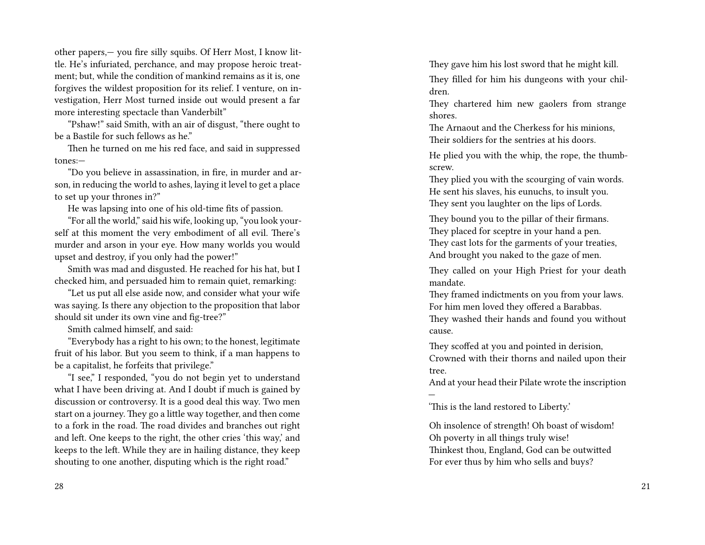other papers,— you fire silly squibs. Of Herr Most, I know little. He's infuriated, perchance, and may propose heroic treatment; but, while the condition of mankind remains as it is, one forgives the wildest proposition for its relief. I venture, on investigation, Herr Most turned inside out would present a far more interesting spectacle than Vanderbilt"

"Pshaw!" said Smith, with an air of disgust, "there ought to be a Bastile for such fellows as he."

Then he turned on me his red face, and said in suppressed tones:—

"Do you believe in assassination, in fire, in murder and arson, in reducing the world to ashes, laying it level to get a place to set up your thrones in?"

He was lapsing into one of his old-time fits of passion.

"For all the world," said his wife, looking up, "you look yourself at this moment the very embodiment of all evil. There's murder and arson in your eye. How many worlds you would upset and destroy, if you only had the power!"

Smith was mad and disgusted. He reached for his hat, but I checked him, and persuaded him to remain quiet, remarking:

"Let us put all else aside now, and consider what your wife was saying. Is there any objection to the proposition that labor should sit under its own vine and fig-tree?"

Smith calmed himself, and said:

"Everybody has a right to his own; to the honest, legitimate fruit of his labor. But you seem to think, if a man happens to be a capitalist, he forfeits that privilege."

"I see," I responded, "you do not begin yet to understand what I have been driving at. And I doubt if much is gained by discussion or controversy. It is a good deal this way. Two men start on a journey. They go a little way together, and then come to a fork in the road. The road divides and branches out right and left. One keeps to the right, the other cries 'this way,' and keeps to the left. While they are in hailing distance, they keep shouting to one another, disputing which is the right road."

28

They gave him his lost sword that he might kill.

They filled for him his dungeons with your children.

They chartered him new gaolers from strange shores.

The Arnaout and the Cherkess for his minions, Their soldiers for the sentries at his doors.

He plied you with the whip, the rope, the thumbscrew.

They plied you with the scourging of vain words. He sent his slaves, his eunuchs, to insult you. They sent you laughter on the lips of Lords.

They bound you to the pillar of their firmans. They placed for sceptre in your hand a pen. They cast lots for the garments of your treaties, And brought you naked to the gaze of men.

They called on your High Priest for your death mandate.

They framed indictments on you from your laws. For him men loved they offered a Barabbas. They washed their hands and found you without cause.

They scoffed at you and pointed in derision, Crowned with their thorns and nailed upon their tree.

And at your head their Pilate wrote the inscription —

'This is the land restored to Liberty.'

Oh insolence of strength! Oh boast of wisdom! Oh poverty in all things truly wise! Thinkest thou, England, God can be outwitted For ever thus by him who sells and buys?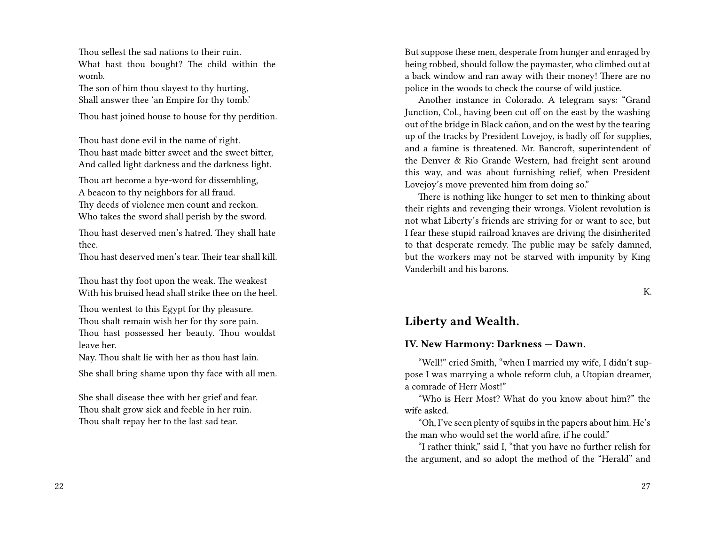Thou sellest the sad nations to their ruin. What hast thou bought? The child within the womb.

The son of him thou slayest to thy hurting, Shall answer thee 'an Empire for thy tomb.'

Thou hast joined house to house for thy perdition.

Thou hast done evil in the name of right. Thou hast made bitter sweet and the sweet bitter, And called light darkness and the darkness light.

Thou art become a bye-word for dissembling, A beacon to thy neighbors for all fraud. Thy deeds of violence men count and reckon. Who takes the sword shall perish by the sword.

Thou hast deserved men's hatred. They shall hate thee.

Thou hast deserved men's tear. Their tear shall kill.

Thou hast thy foot upon the weak. The weakest With his bruised head shall strike thee on the heel.

Thou wentest to this Egypt for thy pleasure. Thou shalt remain wish her for thy sore pain. Thou hast possessed her beauty. Thou wouldst leave her.

Nay. Thou shalt lie with her as thou hast lain.

She shall bring shame upon thy face with all men.

She shall disease thee with her grief and fear. Thou shalt grow sick and feeble in her ruin. Thou shalt repay her to the last sad tear.

But suppose these men, desperate from hunger and enraged by being robbed, should follow the paymaster, who climbed out at a back window and ran away with their money! There are no police in the woods to check the course of wild justice.

Another instance in Colorado. A telegram says: "Grand Junction, Col., having been cut off on the east by the washing out of the bridge in Black cañon, and on the west by the tearing up of the tracks by President Lovejoy, is badly off for supplies, and a famine is threatened. Mr. Bancroft, superintendent of the Denver & Rio Grande Western, had freight sent around this way, and was about furnishing relief, when President Lovejoy's move prevented him from doing so."

There is nothing like hunger to set men to thinking about their rights and revenging their wrongs. Violent revolution is not what Liberty's friends are striving for or want to see, but I fear these stupid railroad knaves are driving the disinherited to that desperate remedy. The public may be safely damned, but the workers may not be starved with impunity by King Vanderbilt and his barons.

K.

#### **Liberty and Wealth.**

#### **IV. New Harmony: Darkness — Dawn.**

"Well!" cried Smith, "when I married my wife, I didn't suppose I was marrying a whole reform club, a Utopian dreamer, a comrade of Herr Most!"

"Who is Herr Most? What do you know about him?" the wife asked.

"Oh, I've seen plenty of squibs in the papers about him. He's the man who would set the world afire, if he could."

"I rather think," said I, "that you have no further relish for the argument, and so adopt the method of the "Herald" and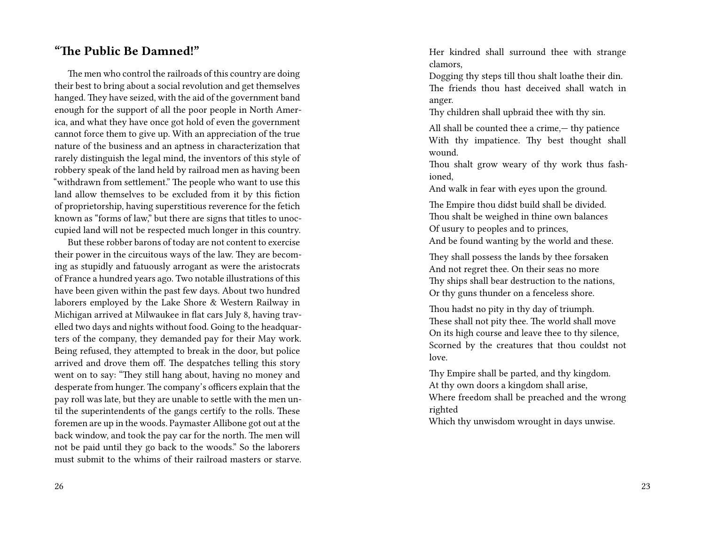#### **"The Public Be Damned!"**

The men who control the railroads of this country are doing their best to bring about a social revolution and get themselves hanged. They have seized, with the aid of the government band enough for the support of all the poor people in North America, and what they have once got hold of even the government cannot force them to give up. With an appreciation of the true nature of the business and an aptness in characterization that rarely distinguish the legal mind, the inventors of this style of robbery speak of the land held by railroad men as having been "withdrawn from settlement." The people who want to use this land allow themselves to be excluded from it by this fiction of proprietorship, having superstitious reverence for the fetich known as "forms of law," but there are signs that titles to unoccupied land will not be respected much longer in this country.

But these robber barons of today are not content to exercise their power in the circuitous ways of the law. They are becoming as stupidly and fatuously arrogant as were the aristocrats of France a hundred years ago. Two notable illustrations of this have been given within the past few days. About two hundred laborers employed by the Lake Shore & Western Railway in Michigan arrived at Milwaukee in flat cars July 8, having travelled two days and nights without food. Going to the headquarters of the company, they demanded pay for their May work. Being refused, they attempted to break in the door, but police arrived and drove them off. The despatches telling this story went on to say: "They still hang about, having no money and desperate from hunger. The company's officers explain that the pay roll was late, but they are unable to settle with the men until the superintendents of the gangs certify to the rolls. These foremen are up in the woods. Paymaster Allibone got out at the back window, and took the pay car for the north. The men will not be paid until they go back to the woods." So the laborers must submit to the whims of their railroad masters or starve. Her kindred shall surround thee with strange clamors,

Dogging thy steps till thou shalt loathe their din. The friends thou hast deceived shall watch in anger.

Thy children shall upbraid thee with thy sin.

All shall be counted thee a crime,— thy patience With thy impatience. Thy best thought shall wound.

Thou shalt grow weary of thy work thus fashioned,

And walk in fear with eyes upon the ground.

The Empire thou didst build shall be divided. Thou shalt be weighed in thine own balances Of usury to peoples and to princes, And be found wanting by the world and these.

They shall possess the lands by thee forsaken And not regret thee. On their seas no more Thy ships shall bear destruction to the nations, Or thy guns thunder on a fenceless shore.

Thou hadst no pity in thy day of triumph. These shall not pity thee. The world shall move On its high course and leave thee to thy silence, Scorned by the creatures that thou couldst not love.

Thy Empire shall be parted, and thy kingdom. At thy own doors a kingdom shall arise, Where freedom shall be preached and the wrong righted

Which thy unwisdom wrought in days unwise.